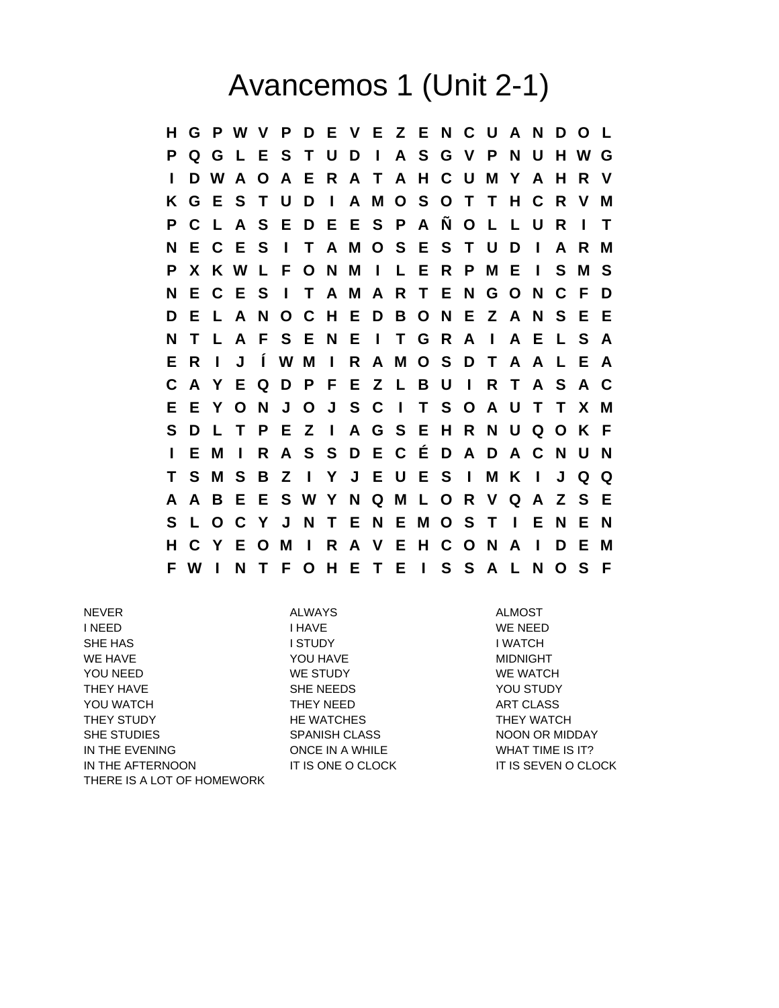## Avancemos 1 (Unit 2-1)

**H G P W V P D E V E Z E N C U A N D O L P Q G L E S T U D I A S G V P N U H W G I D W A O A E R A T A H C U M Y A H R V K G E S T U D I A M O S O T T H C R V M P C L A S E D E E S P A Ñ O L L U R I T N E C E S I T A M O S E S T U D I A R M P X K W L F O N M I L E R P M E I S M S N E C E S I T A M A R T E N G O N C F D D E L A N O C H E D B O N E Z A N S E E N T L A F S E N E I T G R A I A E L S A E R I J Í W M I R A M O S D T A A L E A C A Y E Q D P F E Z L B U I R T A S A C E E Y O N J O J S C I T S O A U T T X M S D L T P E Z I A G S E H R N U Q O K F I E M I R A S S D E C É D A D A C N U N T S M S B Z I Y J E U E S I M K I J Q Q A A B E E S W Y N Q M L O R V Q A Z S E S L O C Y J N T E N E M O S T I E N E N H C Y E O M I R A V E H C O N A I D E M F W I N T F O H E T E I S S A L N O S F**

NEVER ALWAYS ALMOST I HAVE THE MEED WE NEED THAVE THAN IN A VEHICLE THAT IN A VEHICLE IN A VEHICLE IN A VEHICLE IN A VEHICLE IN A VEHICLE IN A VEHICLE IN A VEHICLE IN A VEHICLE IN A VEHICLE IN A VEHICLE IN A VEHICLE IN A VEHICLE IN A VEHICLE SHE HAS I STUDY I WATCH WE HAVE **A REALLY SEEMS AND MIDDIGHT** TO MIDDIGHT YOU NEED WE STUDY WE STUDY WE WATCH THEY HAVE **SHE NEEDS** SHE NEEDS **YOU STUDY** YOU WATCH THEY NEED THEY NEED ART CLASS THEY STUDY THE WATCHES THEY WATCH SHE STUDIES SPANISH CLASS NOON OR MIDDAY IN THE EVENING **ONCE IN A WHILE** WHAT TIME IS IT? IN THE AFTERNOON IT IS ONE O CLOCK IT IS SEVEN O CLOCK THERE IS A LOT OF HOMEWORK